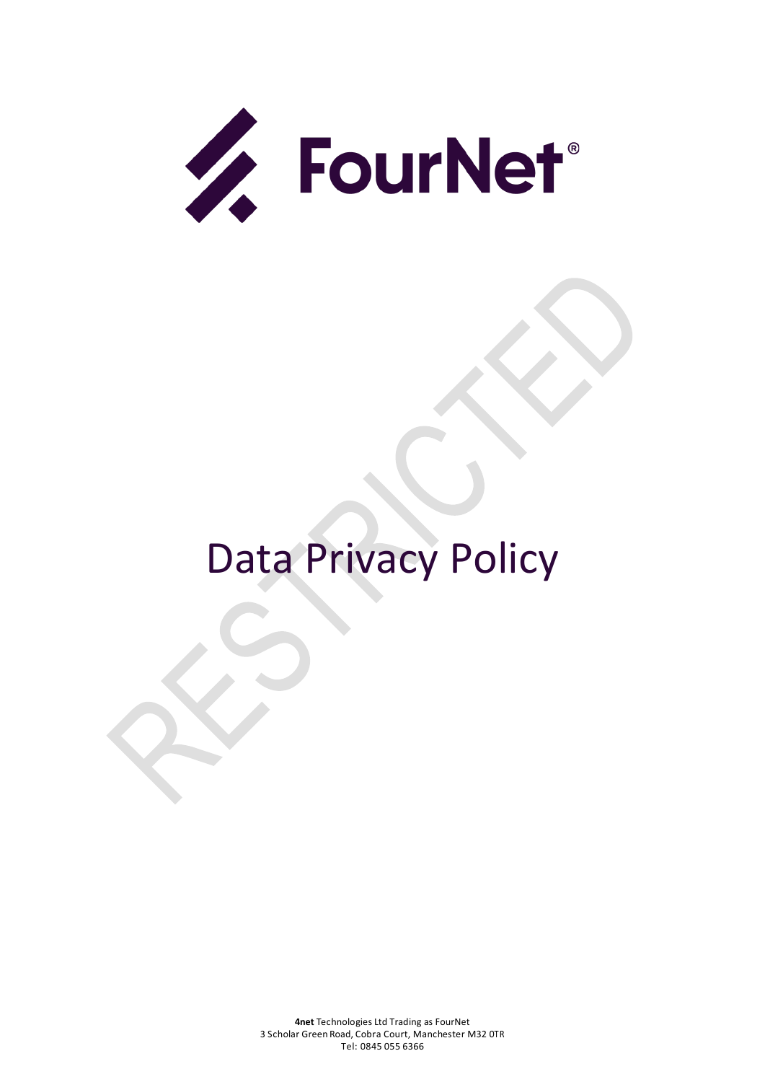

# Data Privacy Policy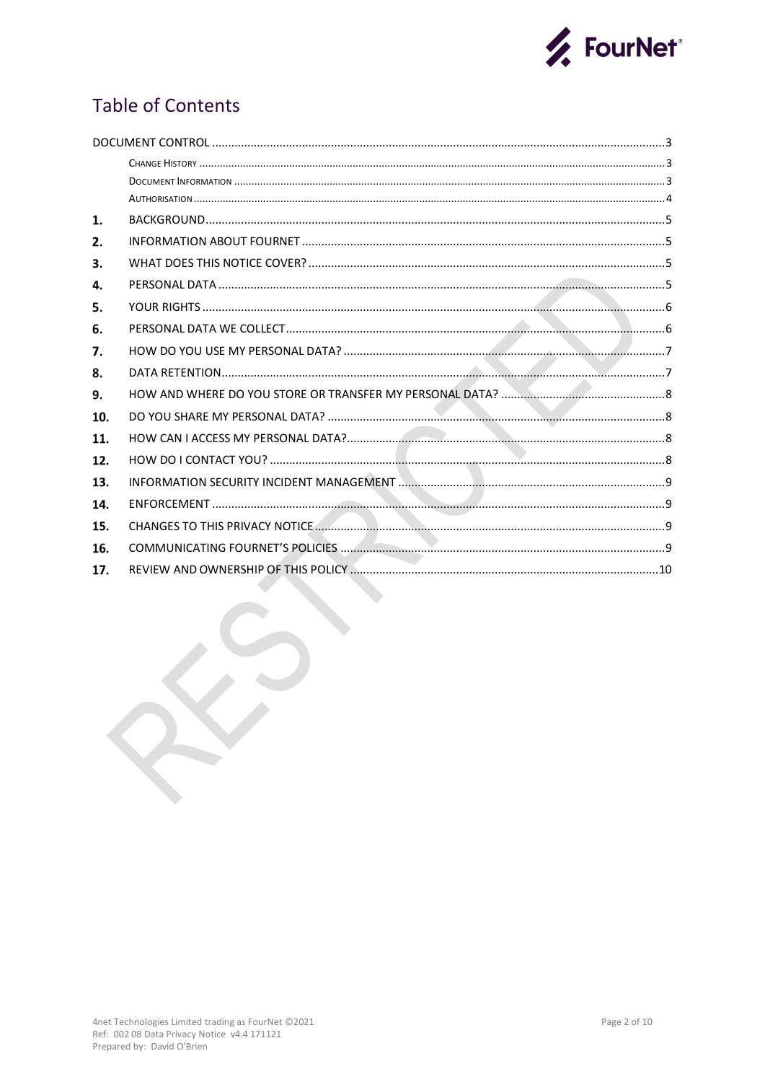

# **Table of Contents**

| 1.  |  |  |  |  |
|-----|--|--|--|--|
| 2.  |  |  |  |  |
| 3.  |  |  |  |  |
| 4.  |  |  |  |  |
| 5.  |  |  |  |  |
| 6.  |  |  |  |  |
| 7.  |  |  |  |  |
| 8.  |  |  |  |  |
| 9.  |  |  |  |  |
| 10. |  |  |  |  |
| 11. |  |  |  |  |
| 12. |  |  |  |  |
| 13. |  |  |  |  |
| 14. |  |  |  |  |
| 15. |  |  |  |  |
| 16. |  |  |  |  |
| 17. |  |  |  |  |

 $\blacksquare$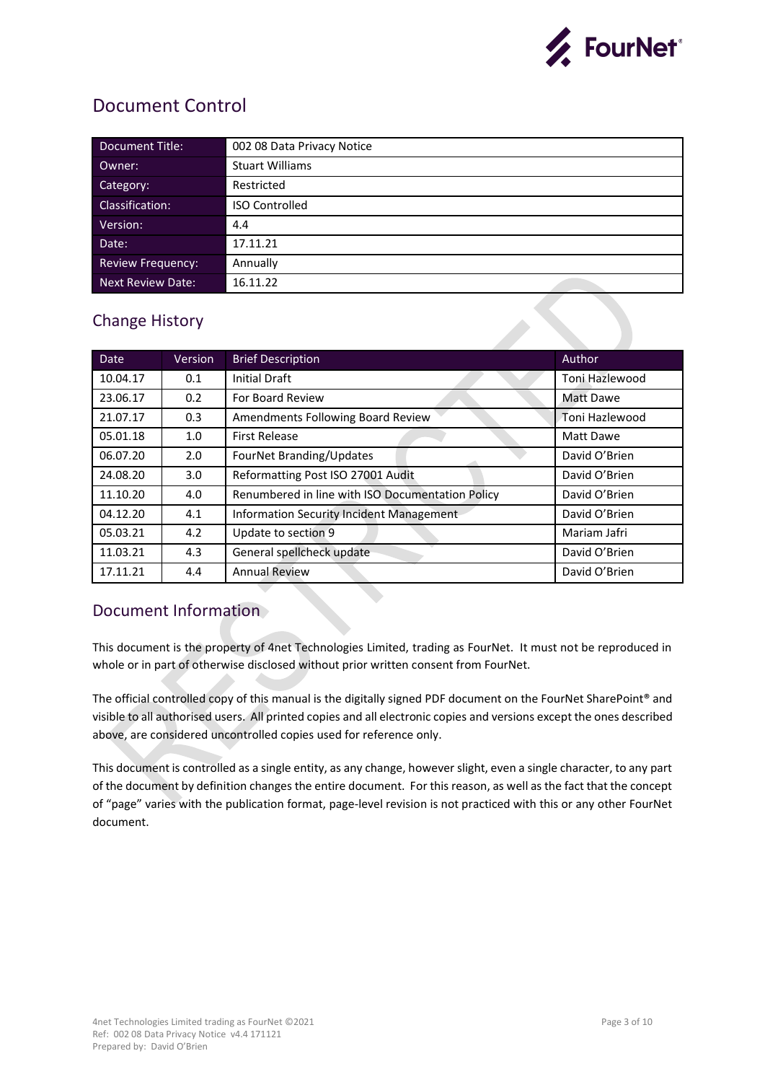

## <span id="page-2-0"></span>Document Control

| Document Title:          | 002 08 Data Privacy Notice |
|--------------------------|----------------------------|
| Owner:                   | <b>Stuart Williams</b>     |
| Category:                | Restricted                 |
| Classification:          | <b>ISO Controlled</b>      |
| Version:                 | 4.4                        |
| Date:                    | 17.11.21                   |
| <b>Review Frequency:</b> | Annually                   |
| <b>Next Review Date:</b> | 16.11.22                   |

## <span id="page-2-1"></span>Change History

| <b>Date</b> | Version | <b>Brief Description</b>                         | Author         |
|-------------|---------|--------------------------------------------------|----------------|
| 10.04.17    | 0.1     | <b>Initial Draft</b>                             | Toni Hazlewood |
| 23.06.17    | 0.2     | For Board Review                                 | Matt Dawe      |
| 21.07.17    | 0.3     | Amendments Following Board Review                | Toni Hazlewood |
| 05.01.18    | 1.0     | <b>First Release</b>                             | Matt Dawe      |
| 06.07.20    | 2.0     | FourNet Branding/Updates                         | David O'Brien  |
| 24.08.20    | 3.0     | Reformatting Post ISO 27001 Audit                | David O'Brien  |
| 11.10.20    | 4.0     | Renumbered in line with ISO Documentation Policy | David O'Brien  |
| 04.12.20    | 4.1     | <b>Information Security Incident Management</b>  | David O'Brien  |
| 05.03.21    | 4.2     | Update to section 9                              | Mariam Jafri   |
| 11.03.21    | 4.3     | General spellcheck update                        | David O'Brien  |
| 17.11.21    | 4.4     | <b>Annual Review</b>                             | David O'Brien  |
|             |         |                                                  |                |

### <span id="page-2-2"></span>Document Information

This document is the property of 4net Technologies Limited, trading as FourNet. It must not be reproduced in whole or in part of otherwise disclosed without prior written consent from FourNet.

The official controlled copy of this manual is the digitally signed PDF document on the FourNet SharePoint® and visible to all authorised users. All printed copies and all electronic copies and versions except the ones described above, are considered uncontrolled copies used for reference only.

This document is controlled as a single entity, as any change, however slight, even a single character, to any part of the document by definition changes the entire document. For this reason, as well as the fact that the concept of "page" varies with the publication format, page-level revision is not practiced with this or any other FourNet document.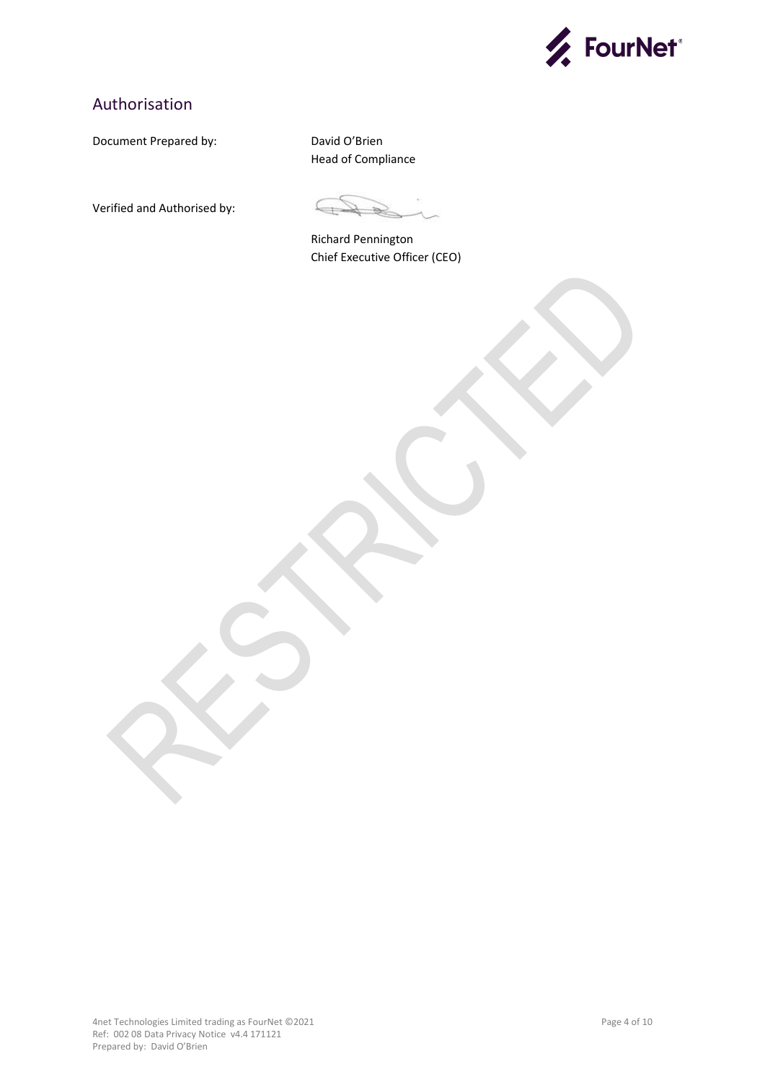

## <span id="page-3-0"></span>Authorisation

Document Prepared by: David O'Brien

Head of Compliance

Verified and Authorised by:

Richard Pennington Chief Executive Officer (CEO)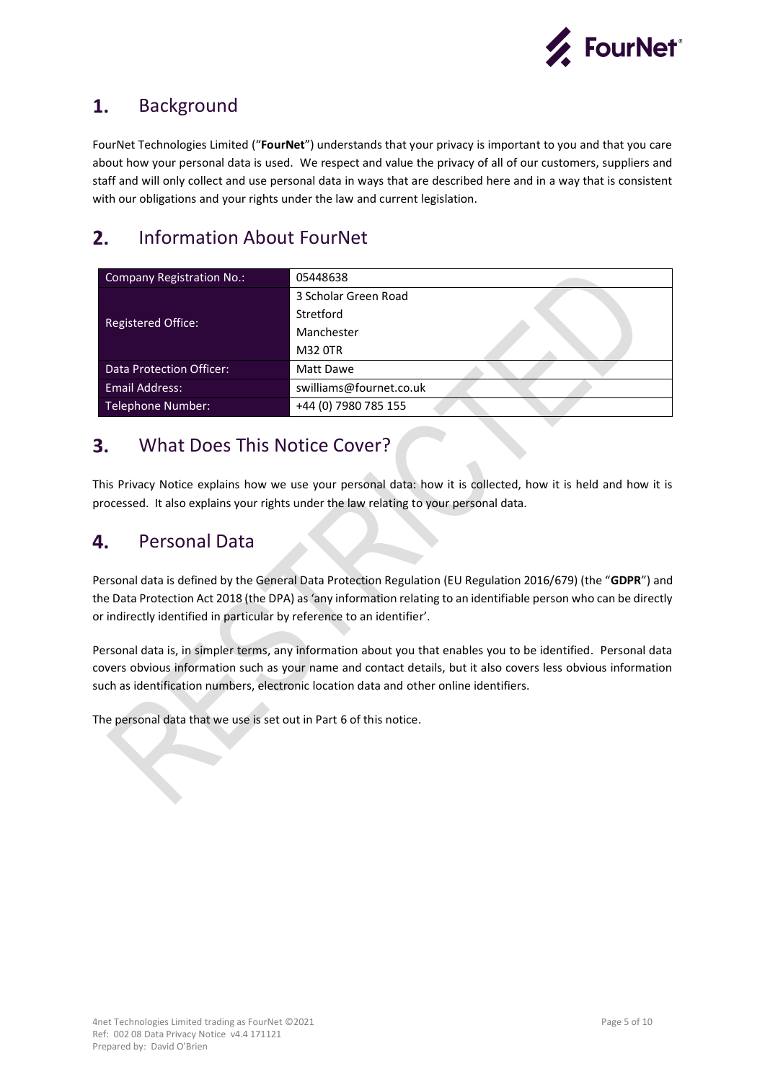

#### <span id="page-4-0"></span>Background 1.

FourNet Technologies Limited ("**FourNet**") understands that your privacy is important to you and that you care about how your personal data is used. We respect and value the privacy of all of our customers, suppliers and staff and will only collect and use personal data in ways that are described here and in a way that is consistent with our obligations and your rights under the law and current legislation.

#### <span id="page-4-1"></span> $2.$ Information About FourNet

| Company Registration No.: | 05448638                |
|---------------------------|-------------------------|
|                           | 3 Scholar Green Road    |
|                           | Stretford               |
| <b>Registered Office:</b> | Manchester              |
|                           | M32 0TR                 |
| Data Protection Officer:  | Matt Dawe               |
| <b>Email Address:</b>     | swilliams@fournet.co.uk |
| <b>Telephone Number:</b>  | +44 (0) 7980 785 155    |

#### <span id="page-4-2"></span>What Does This Notice Cover?  $3.$

This Privacy Notice explains how we use your personal data: how it is collected, how it is held and how it is processed. It also explains your rights under the law relating to your personal data.

#### <span id="page-4-3"></span>4. Personal Data

Personal data is defined by the General Data Protection Regulation (EU Regulation 2016/679) (the "**GDPR**") and the Data Protection Act 2018 (the DPA) as 'any information relating to an identifiable person who can be directly or indirectly identified in particular by reference to an identifier'.

Personal data is, in simpler terms, any information about you that enables you to be identified. Personal data covers obvious information such as your name and contact details, but it also covers less obvious information such as identification numbers, electronic location data and other online identifiers.

The personal data that we use is set out in Part 6 of this notice.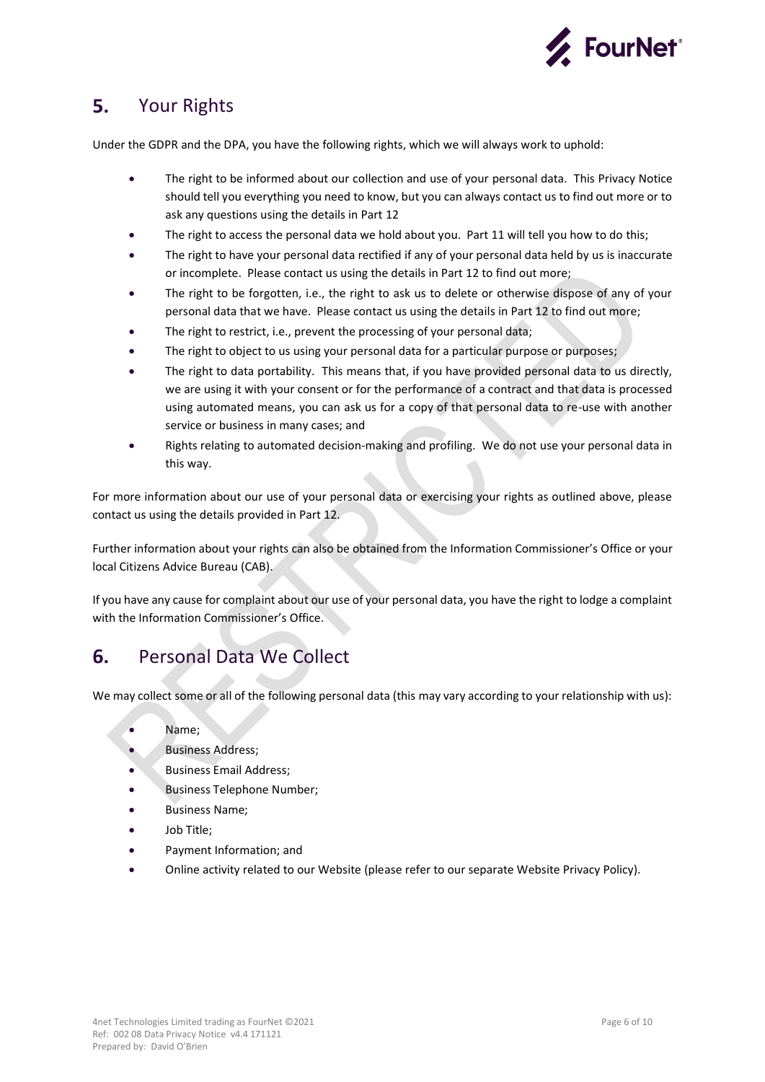

#### <span id="page-5-0"></span>Your Rights 5.

Under the GDPR and the DPA, you have the following rights, which we will always work to uphold:

- The right to be informed about our collection and use of your personal data. This Privacy Notice should tell you everything you need to know, but you can always contact us to find out more or to ask any questions using the details in Part 12
- The right to access the personal data we hold about you. Part 11 will tell you how to do this:
- The right to have your personal data rectified if any of your personal data held by us is inaccurate or incomplete. Please contact us using the details in Part 12 to find out more;
- The right to be forgotten, i.e., the right to ask us to delete or otherwise dispose of any of your personal data that we have. Please contact us using the details in Part 12 to find out more;
- The right to restrict, i.e., prevent the processing of your personal data;
- The right to object to us using your personal data for a particular purpose or purposes;
- The right to data portability. This means that, if you have provided personal data to us directly, we are using it with your consent or for the performance of a contract and that data is processed using automated means, you can ask us for a copy of that personal data to re-use with another service or business in many cases; and
- Rights relating to automated decision-making and profiling. We do not use your personal data in this way.

For more information about our use of your personal data or exercising your rights as outlined above, please contact us using the details provided in Part 12.

Further information about your rights can also be obtained from the Information Commissioner's Office or your local Citizens Advice Bureau (CAB).

If you have any cause for complaint about our use of your personal data, you have the right to lodge a complaint with the Information Commissioner's Office.

#### <span id="page-5-1"></span>Personal Data We Collect 6.

We may collect some or all of the following personal data (this may vary according to your relationship with us):

- Name;
- **Business Address;**
- Business Email Address;
- Business Telephone Number;
- Business Name;
- Job Title;
- Payment Information; and
- Online activity related to our Website (please refer to our separate Website Privacy Policy).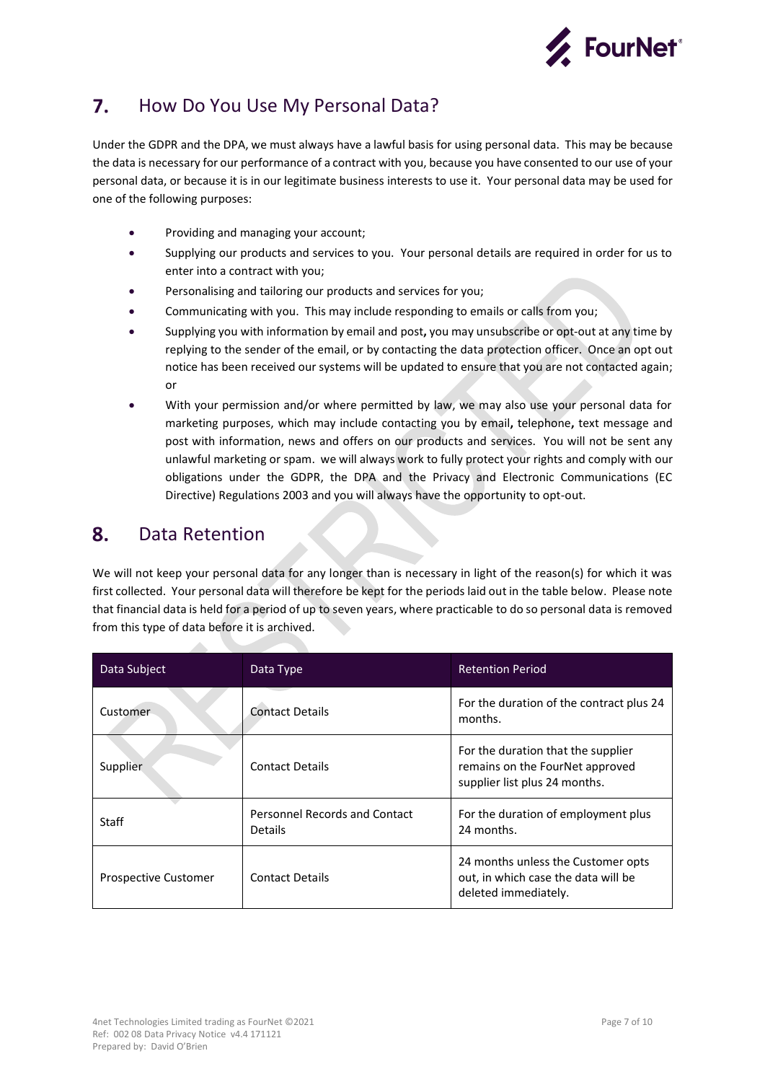

#### <span id="page-6-0"></span> $\mathbf{7}$ . How Do You Use My Personal Data?

Under the GDPR and the DPA, we must always have a lawful basis for using personal data. This may be because the data is necessary for our performance of a contract with you, because you have consented to our use of your personal data, or because it is in our legitimate business interests to use it. Your personal data may be used for one of the following purposes:

- Providing and managing your account;
- Supplying our products and services to you. Your personal details are required in order for us to enter into a contract with you;
- Personalising and tailoring our products and services for you;
- Communicating with you. This may include responding to emails or calls from you;
- Supplying you with information by email and post**,** you may unsubscribe or opt-out at any time by replying to the sender of the email, or by contacting the data protection officer. Once an opt out notice has been received our systems will be updated to ensure that you are not contacted again; or
- With your permission and/or where permitted by law, we may also use your personal data for marketing purposes, which may include contacting you by email**,** telephone**,** text message and post with information, news and offers on our products and services. You will not be sent any unlawful marketing or spam. we will always work to fully protect your rights and comply with our obligations under the GDPR, the DPA and the Privacy and Electronic Communications (EC Directive) Regulations 2003 and you will always have the opportunity to opt-out.

#### <span id="page-6-1"></span>8. Data Retention

We will not keep your personal data for any longer than is necessary in light of the reason(s) for which it was first collected. Your personal data will therefore be kept for the periods laid out in the table below. Please note that financial data is held for a period of up to seven years, where practicable to do so personal data is removed from this type of data before it is archived.

| Data Subject                | Data Type                                       | <b>Retention Period</b>                                                                                |  |
|-----------------------------|-------------------------------------------------|--------------------------------------------------------------------------------------------------------|--|
| Customer                    | <b>Contact Details</b>                          | For the duration of the contract plus 24<br>months.                                                    |  |
| Supplier                    | <b>Contact Details</b>                          | For the duration that the supplier<br>remains on the FourNet approved<br>supplier list plus 24 months. |  |
| Staff                       | Personnel Records and Contact<br><b>Details</b> | For the duration of employment plus<br>24 months.                                                      |  |
| <b>Prospective Customer</b> | <b>Contact Details</b>                          | 24 months unless the Customer opts<br>out, in which case the data will be<br>deleted immediately.      |  |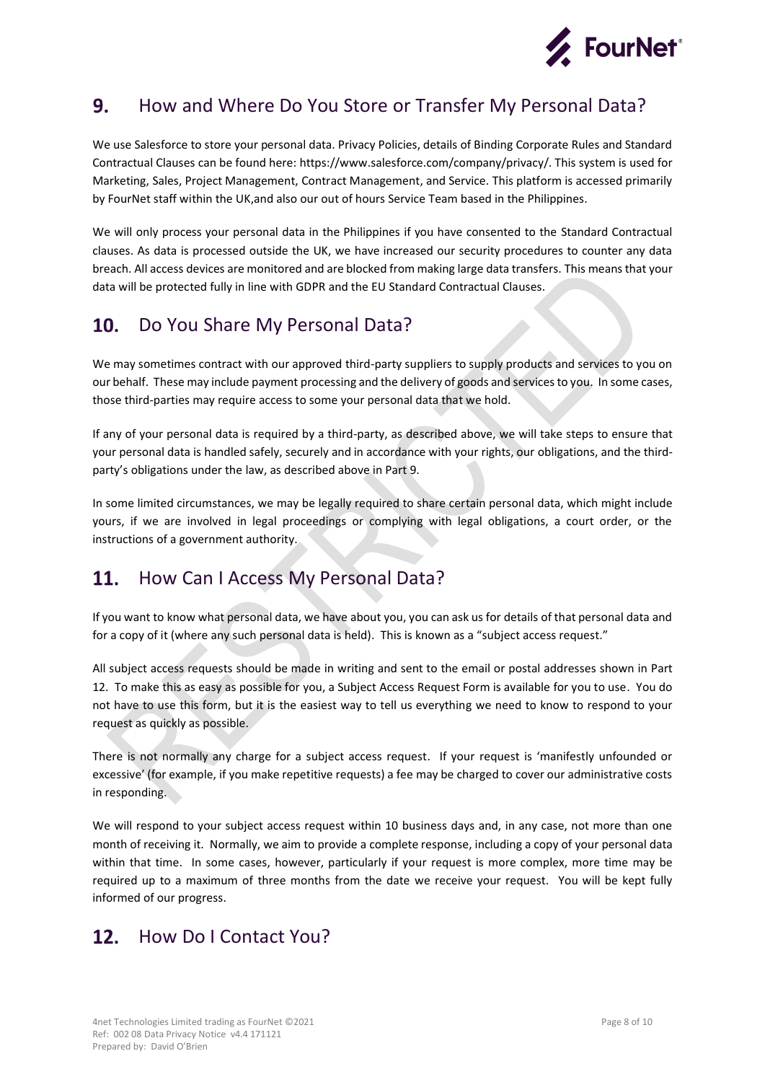

#### <span id="page-7-0"></span>9. How and Where Do You Store or Transfer My Personal Data?

We use Salesforce to store your personal data. Privacy Policies, details of Binding Corporate Rules and Standard Contractual Clauses can be found here: https://www.salesforce.com/company/privacy/. This system is used for Marketing, Sales, Project Management, Contract Management, and Service. This platform is accessed primarily by FourNet staff within the UK,and also our out of hours Service Team based in the Philippines.

We will only process your personal data in the Philippines if you have consented to the Standard Contractual clauses. As data is processed outside the UK, we have increased our security procedures to counter any data breach. All access devices are monitored and are blocked from making large data transfers. This means that your data will be protected fully in line with GDPR and the EU Standard Contractual Clauses.

#### <span id="page-7-1"></span>Do You Share My Personal Data? **10.**

We may sometimes contract with our approved third-party suppliers to supply products and services to you on our behalf. These may include payment processing and the delivery of goods and services to you. In some cases, those third-parties may require access to some your personal data that we hold.

If any of your personal data is required by a third-party, as described above, we will take steps to ensure that your personal data is handled safely, securely and in accordance with your rights, our obligations, and the thirdparty's obligations under the law, as described above in Part 9.

In some limited circumstances, we may be legally required to share certain personal data, which might include yours, if we are involved in legal proceedings or complying with legal obligations, a court order, or the instructions of a government authority.

#### <span id="page-7-2"></span>**11.** How Can I Access My Personal Data?

If you want to know what personal data, we have about you, you can ask us for details of that personal data and for a copy of it (where any such personal data is held). This is known as a "subject access request."

All subject access requests should be made in writing and sent to the email or postal addresses shown in Part 12. To make this as easy as possible for you, a Subject Access Request Form is available for you to use. You do not have to use this form, but it is the easiest way to tell us everything we need to know to respond to your request as quickly as possible.

There is not normally any charge for a subject access request. If your request is 'manifestly unfounded or excessive' (for example, if you make repetitive requests) a fee may be charged to cover our administrative costs in responding.

We will respond to your subject access request within 10 business days and, in any case, not more than one month of receiving it. Normally, we aim to provide a complete response, including a copy of your personal data within that time. In some cases, however, particularly if your request is more complex, more time may be required up to a maximum of three months from the date we receive your request. You will be kept fully informed of our progress.

#### <span id="page-7-3"></span>How Do I Contact You? $12.$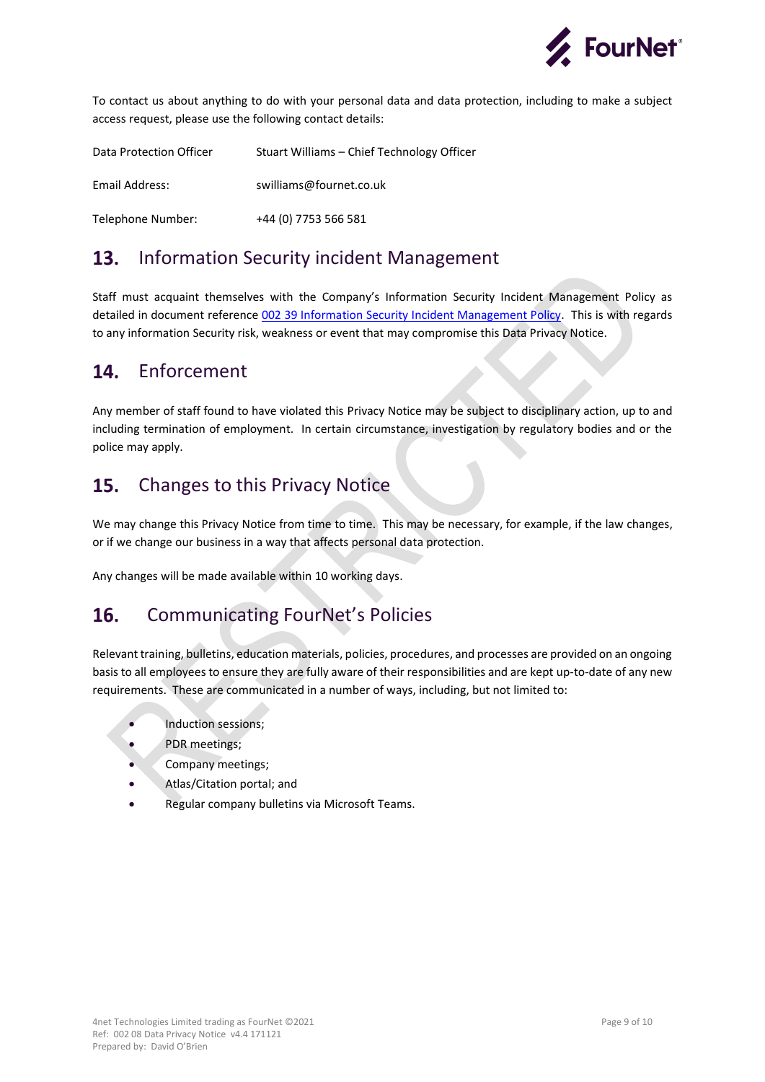

To contact us about anything to do with your personal data and data protection, including to make a subject access request, please use the following contact details:

Data Protection Officer Stuart Williams – Chief Technology Officer Email Address: swilliams@fournet.co.uk Telephone Number: +44 (0) 7753 566 581

#### <span id="page-8-0"></span>13. Information Security incident Management

Staff must acquaint themselves with the Company's Information Security Incident Management Policy as detailed in document reference [002 39 Information Security Incident Management Policy.](https://4nettech.sharepoint.com/:w:/s/4net-ISOCertification/EeTGjBXN_chGlCWbvtvli6sBV1bo1NCwbD1SPN9300H4qA) This is with regards to any information Security risk, weakness or event that may compromise this Data Privacy Notice.

#### <span id="page-8-1"></span>14. Enforcement

Any member of staff found to have violated this Privacy Notice may be subject to disciplinary action, up to and including termination of employment. In certain circumstance, investigation by regulatory bodies and or the police may apply.

#### <span id="page-8-2"></span>Changes to this Privacy Notice 15.

We may change this Privacy Notice from time to time. This may be necessary, for example, if the law changes, or if we change our business in a way that affects personal data protection.

Any changes will be made available within 10 working days.

#### <span id="page-8-3"></span>16. Communicating FourNet's Policies

Relevant training, bulletins, education materials, policies, procedures, and processes are provided on an ongoing basis to all employees to ensure they are fully aware of their responsibilities and are kept up-to-date of any new requirements. These are communicated in a number of ways, including, but not limited to:

- Induction sessions;
- PDR meetings;
- Company meetings;
- Atlas/Citation portal; and
- Regular company bulletins via Microsoft Teams.